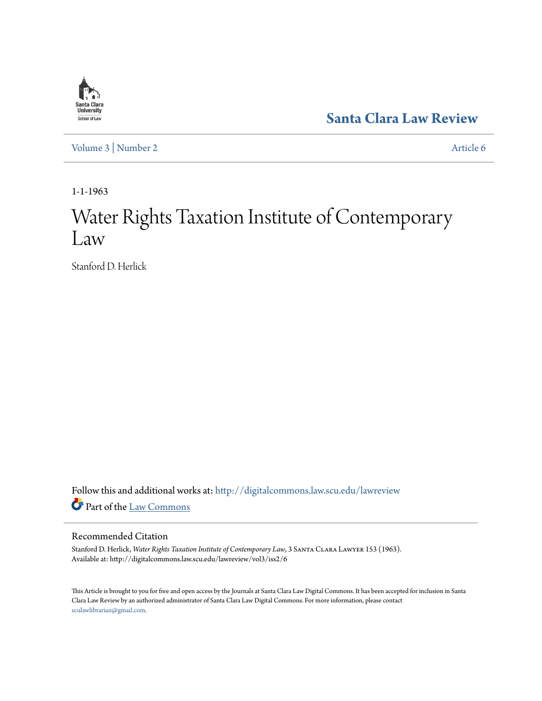

**[Santa Clara Law Review](http://digitalcommons.law.scu.edu/lawreview?utm_source=digitalcommons.law.scu.edu%2Flawreview%2Fvol3%2Fiss2%2F6&utm_medium=PDF&utm_campaign=PDFCoverPages)**

[Volume 3](http://digitalcommons.law.scu.edu/lawreview/vol3?utm_source=digitalcommons.law.scu.edu%2Flawreview%2Fvol3%2Fiss2%2F6&utm_medium=PDF&utm_campaign=PDFCoverPages) | [Number 2](http://digitalcommons.law.scu.edu/lawreview/vol3/iss2?utm_source=digitalcommons.law.scu.edu%2Flawreview%2Fvol3%2Fiss2%2F6&utm_medium=PDF&utm_campaign=PDFCoverPages) [Article 6](http://digitalcommons.law.scu.edu/lawreview/vol3/iss2/6?utm_source=digitalcommons.law.scu.edu%2Flawreview%2Fvol3%2Fiss2%2F6&utm_medium=PDF&utm_campaign=PDFCoverPages)

1-1-1963

# Water Rights Taxation Institute of Contemporary Law

Stanford D. Herlick

Follow this and additional works at: [http://digitalcommons.law.scu.edu/lawreview](http://digitalcommons.law.scu.edu/lawreview?utm_source=digitalcommons.law.scu.edu%2Flawreview%2Fvol3%2Fiss2%2F6&utm_medium=PDF&utm_campaign=PDFCoverPages) Part of the [Law Commons](http://network.bepress.com/hgg/discipline/578?utm_source=digitalcommons.law.scu.edu%2Flawreview%2Fvol3%2Fiss2%2F6&utm_medium=PDF&utm_campaign=PDFCoverPages)

### Recommended Citation

Stanford D. Herlick, *Water Rights Taxation Institute of Contemporary Law*, 3 Santa Clara Lawyer 153 (1963). Available at: http://digitalcommons.law.scu.edu/lawreview/vol3/iss2/6

This Article is brought to you for free and open access by the Journals at Santa Clara Law Digital Commons. It has been accepted for inclusion in Santa Clara Law Review by an authorized administrator of Santa Clara Law Digital Commons. For more information, please contact [sculawlibrarian@gmail.com](mailto:sculawlibrarian@gmail.com).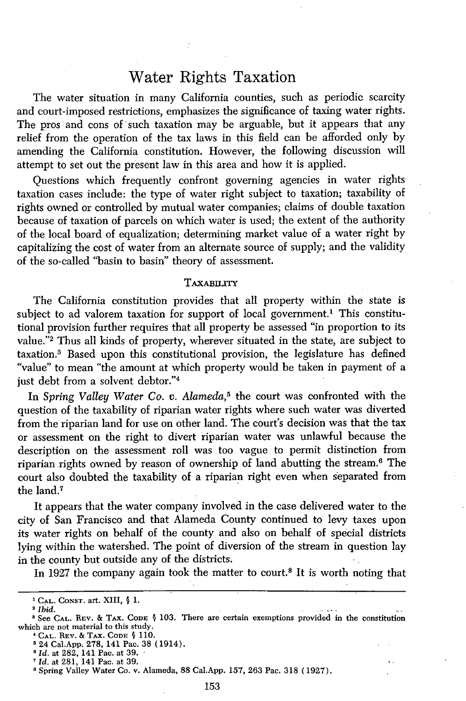## Water Rights Taxation

The water situation in many California counties, such as periodic scarcity and court-imposed restrictions, emphasizes the significance of taxing water rights. The pros and cons of such taxation may be arguable, but it appears that any relief from the operation of the tax laws in this field can be afforded only by amending the California constitution. However, the following discussion will attempt to set out the present law in this area and how it is applied.

Questions which frequently confront governing agencies in water rights taxation cases include: the type of water right subject to taxation; taxability of rights owned or controlled by mutual water companies; claims of double taxation because of taxation of parcels on which water is used; the extent of the authority of the local board of equalization; determining market value of a water right by capitalizing the cost of water from an alternate source of supply; and the validity of the so-called "basin to basin" theory of assessment.

#### TAXABILITY

The California constitution provides that all property within the state is subject to ad valorem taxation for support of local government.<sup>1</sup> This constitutional provision further requires that all property be assessed "in proportion to its value."2 Thus all kinds of property, wherever situated in the state, are subject to taxation.8 Based upon this constitutional provision, the legislature has defined "value" to mean "the amount at which property would be taken in payment of a just debt from a solvent debtor."<sup>4</sup>

In *Spring Valley Water Co. v. Alameda,5* the court was confronted with the question of the taxability of riparian water rights where such water was diverted from the riparian land for use on other land. The court's decision was that the tax or assessment on the right to divert riparian water was unlawful because the description on the assessment roll was too vague to permit distinction from riparian rights owned by reason of ownership of land abutting the stream.6 The court also doubted the taxability of a riparian right even when separated from the land.<sup>7</sup>

It appears that the water company involved in the case delivered water to the city of San Francisco and that Alameda County continued to levy taxes upon its water rights on behalf of the county and also on behalf of special districts lying within the watershed. The point of diversion of the stream in question lay in the county but outside any of the districts.

In 1927 the company again took the matter to court.<sup>8</sup> It is worth noting that

**<sup>&#</sup>x27;CAL. CONST.** art. XIII, **§** 1.

*Ibid.*

See **CAL.** REV. & TAX. **CODE §** 103. There are certain exemptions provided in the constitution which are not material to this study.

**<sup>&#</sup>x27;CAL.** REV. & TAx. **CODE § 110. 5** 24 Cal.App. 278, 141 Pac. 38 (1914).

*<sup>6</sup> Id.* at 282, 141 Pac. at 39.

*Id.* at 281, 141 Pac. at 39.

<sup>&#</sup>x27;Spring Valley Water Co. v. Alameda, 88 Cal.App. 157, 263 Pac. 318 (1927).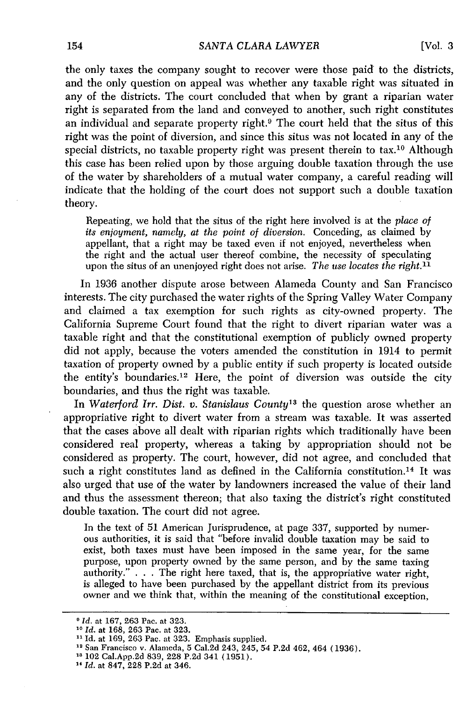the only taxes the company sought to recover were those paid to the districts, and the only question on appeal was whether any taxable right was situated in any of the districts. The court concluded that when by grant a riparian water right is separated from the land and conveyed to another, such right constitutes an individual and separate property right.<sup>9</sup> The court held that the situs of this right was the point of diversion, and since this situs was not located in any of the special districts, no taxable property right was present therein to tax.<sup>10</sup> Although this case has been relied upon by those arguing double taxation through the use of the water by shareholders of a mutual water company, a careful reading will indicate that the holding of the court does not support such a double taxation theory.

Repeating, we hold that the situs of the right here involved is at the *place of its enjoyment, namely, at the point of diversion.* Conceding, as claimed by appellant, that a right may be taxed even if not enjoyed, nevertheless when the right and the actual user thereof combine, the necessity of speculating upon the situs of an unenjoyed right does not arise. *The use locates the right.11*

In 1936 another dispute arose between Alameda County and San Francisco interests. The city purchased the water rights of the Spring Valley Water Company and claimed a tax exemption for such rights as city-owned property. The California Supreme Court found that the right to divert riparian water was a taxable right and that the constitutional exemption of publicly owned property did not apply, because the voters amended the constitution in 1914 to permit taxation of property owned by a public entity if such property is located outside the entity's boundaries.<sup>12</sup> Here, the point of diversion was outside the city boundaries, and thus the right was taxable.

In *Waterford Irr. Dist. v. Stanislaus County13* the question arose whether an appropriative right to divert water from a stream was taxable. It was asserted that the cases above all dealt with riparian rights which traditionally have been considered real property, whereas a taking by appropriation should not be considered as property. The court, however, did not agree, and concluded that such a right constitutes land as defined in the California constitution.<sup>14</sup> It was also urged that use of the water by landowners increased the value of their land and thus the assessment thereon; that also taxing the district's right constituted double taxation. The court did not agree.

In the text of 51 American Jurisprudence, at page 337, supported by numerous authorities, it is said that "before invalid double taxation may be said to exist, both taxes must have been imposed in the same year, for the same purpose, upon property owned by the same person, and by the same taxing authority." . . . The right here taxed, that is, the appropriative water right, is alleged to have been purchased by the appellant district from its previous owner and we think that, within the meaning of the constitutional exception,

*<sup>14</sup>Id.* at 847, 228 P.2d at 346.

*Id.* at 167, 263 Pac. at 323. **<sup>10</sup>***Id.* at 168, 263 Pac. at 323.

<sup>&</sup>lt;sup>11</sup> Id. at 169, 263 Pac. at 323. Emphasis supplied.<br><sup>12</sup> San Francisco v. Alameda, 5 Cal.2d 243, 245, 54 P.2d 462, 464 (1936).

**<sup>&#</sup>x27;8** 102 Cal.App.2d 839, 228 P.2d 341 (1951).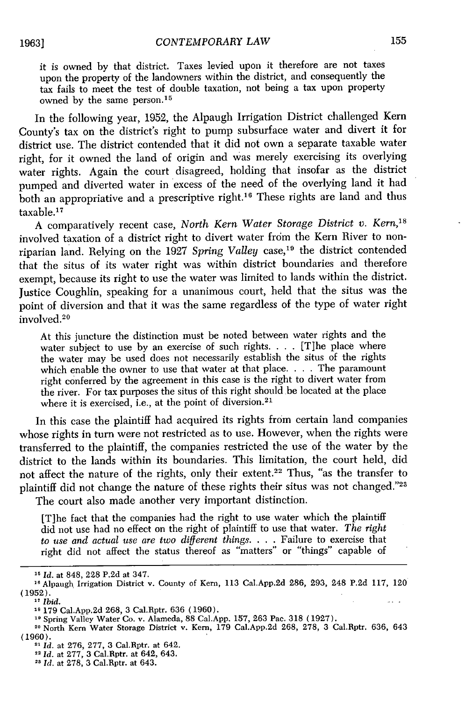it is owned by that district. Taxes levied upon it therefore are not taxes upon the property of the landowners within the district, and consequently the tax fails to meet the test of double taxation, not being a tax upon property owned by the same person.<sup>15</sup>

In the following year, 1952, the Alpaugh Irrigation District challenged Kern County's tax on the district's right to pump subsurface water and divert it for district use. The district contended that it did not own a separate taxable water right, for it owned the land of origin and was merely exercising its overlying water rights. Again the court disagreed, holding that insofar as the district pumped and diverted water in excess of the need of the overlying land it had both an appropriative and a prescriptive right.<sup>16</sup> These rights are land and thus taxable.<sup>17</sup>

A comparatively recent case, *North Kern Water Storage District v. Kern,18* involved taxation of a district right to divert water from the Kern River to nonriparian land. Relying on the 1927 Spring Valley case,<sup>19</sup> the district contended that the situs of its water right was within district boundaries and therefore exempt, because its right to use the water was limited to lands within the district. Justice Coughlin, speaking for a unanimous court, held that the situs was the point of diversion and that it was the same regardless of the type of water right involved.<sup>20</sup>

At this juncture the distinction must be noted between water rights and the water subject to use by an exercise of such rights. . . . [T]he place where the water may be used does not necessarily establish the situs of the rights which enable the owner to use that water at that place. . . . The paramount right conferred by the agreement in this case is the right to divert water from the river. For tax purposes the situs of this right should be located at the place where it is exercised, i.e., at the point of diversion.<sup>21</sup>

In this case the plaintiff had acquired its rights from certain land companies whose rights in turn were not restricted as to use. However, when the rights were transferred to the plaintiff, the companies restricted the use of the water by the district to the lands within its boundaries. This limitation, the court held, did not affect the nature of the rights, only their extent.22 Thus, "as the transfer to plaintiff did not change the nature of these rights their situs was not changed."23

The court also made another very important distinction.

[T]he fact that the companies had the right to use water which the plaintiff did not use had no effect on the right of plaintiff to use that water. *The right to use and actual use are two different things.* . **.** .Failure to exercise that right did not affect the status thereof as "matters" or "things" capable of

**<sup>15</sup>** *Id.* at 848, 228 P.2d at 347.

**<sup>&</sup>quot;0** Alpaugh Irrigation District v. County of Kern, 113 Cal.App.2d 286, 293, 248 P.2d 117, 120 (1952).

**<sup>17</sup>** *Ibid.*

**<sup>&</sup>quot;1** 179 Cal.App.2d 268, 3 Cal.Rptr. 636 (1960).

**<sup>19</sup>**Spring Valley Water Co. v. Alameda, 88 Cal.App. 157, 263 Pac. 318 (1927).

**<sup>10</sup>** North Kern Water Storage District v. Kern, 179 Cal.App.2d 268, 278, 3 Cal.Rptr. 636, 643 (1960). <sup>21</sup>*Id.* at 276, 277, 3 Cal.Rptr. at 642.

<sup>22</sup>*Id.* at 277, 3 Cal.Rptr. at 642, 643.

<sup>&</sup>lt;sup>23</sup> *Id.* at 278, 3 Cal.Rptr. at 643.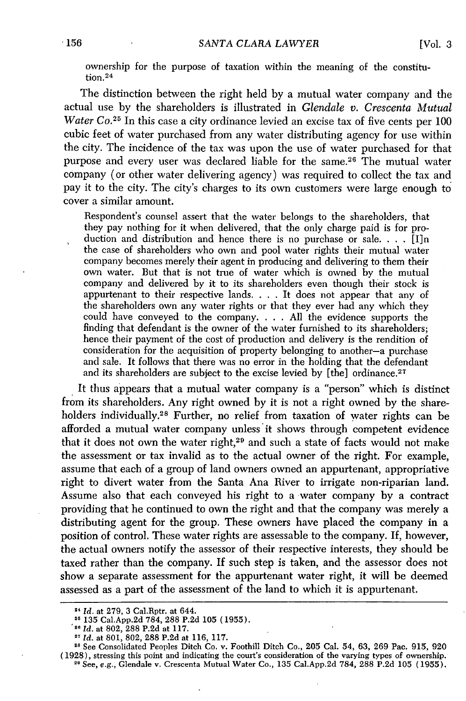ownership for the purpose of taxation within the meaning of the constitution.<sup>24</sup>

The distinction between the right held by a mutual water company and the actual use by the shareholders is illustrated in *Glendale v. Crescenta Mutual Water Co.*<sup>25</sup> In this case a city ordinance levied an excise tax of five cents per 100 cubic feet of water purchased from any water distributing agency for use within the city. The incidence of the tax was upon the use of water purchased for that purpose and every user was declared liable for the same.<sup>26</sup> The mutual water company (or other water delivering agency) was required to collect the tax and pay it to the city. The city's charges to its own customers were large enough to cover a similar amount.

Respondent's counsel assert that the water belongs to the shareholders, that they pay nothing for it when delivered, that the only charge paid is for production and distribution and hence there is no purchase or sale. . . . [I]n the case of shareholders who own and pool water rights their mutual water company becomes merely their agent in producing and delivering to them their own water. But that is not true of water which is owned by the mutual company and delivered by it to its shareholders even though their stock is appurtenant to their respective lands. . **.** . It does not appear that any of the shareholders own any water rights or that they ever had any which they could have conveyed to the company. . **.** . All the evidence supports the finding that defendant is the owner of the water furnished to its shareholders; hence their payment of the cost of production and delivery is the rendition of consideration for the acquisition of property belonging to another-a purchase and sale. It follows that there was no error in the holding that the defendant and its shareholders are subject to the excise levied by [the] ordinance.<sup>27</sup>

It thus appears that a mutual water company is a "person" which is distinct from its shareholders. Any right owned by it is not a right owned by the shareholders individually.<sup>28</sup> Further, no relief from taxation of water rights can be afforded a mutual water company unless'it shows through competent evidence that it does not own the water right,<sup>29</sup> and such a state of facts would not make the assessment or tax invalid as to the actual owner of the right. For example, assume that each of a group of land owners owned an appurtenant, appropriative right to divert water from the Santa Ana River to irrigate non-riparian land. Assume also that each conveyed his right to a water company by a contract providing that he continued to own the right and that the company was merely a distributing agent for the group. These owners have placed the company in a position of control. These water rights are assessable to the company. **If,** however, the actual owners notify the assessor of their respective interests, they should be taxed rather than the company. If such step is taken, and the assessor does not show a separate assessment for the appurtenant water right, it will be deemed assessed as a part of the assessment of the land to which it is appurtenant.

<sup>24</sup>*Id.* at 279, 3 Cal.Rptr. at 644.

**<sup>:5</sup>** 135 Cal.App.2d 784, 288 P.2d 105 (1955).

*id.* at 802, 288 P.2d at 117. **<sup>27</sup>***Id.* at 801, 802, 288 P.2d at 116, 117.

**<sup>1</sup>s** See Consolidated Peoples Ditch Co. v. Foothill Ditch Co., 205 Cal. 54, 63, 269 Pac. 915, 920 (1928), stressing this point and indicating the court's consideration of the varying types of ownership. 2' See, **e.g.,** Glendale v. Crescenta Mutual Water Co., 135 Cal.App.2d 784, 288 P.2d 105 (1955).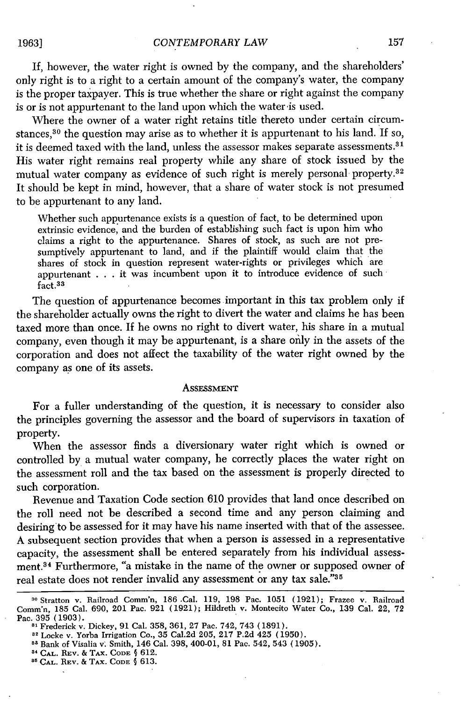1963]

If, however, the water right is owned by the company, and the shareholders' only right is to a right to a certain amount of the company's water, the company is the proper taxpayer. This is true whether the share or right against the company is or is not appurtenant to the land upon which the water is used.

Where the owner of a water right retains title thereto under certain circumstances, $30$  the question may arise as to whether it is appurtenant to his land. If so, it is deemed taxed with the land, unless the assessor makes separate assessments.<sup>31</sup> His water right remains real property while any share of stock issued by the mutual water company as evidence of such right is merely personal property.<sup>32</sup> It should be kept in mind, however, that a share of water stock is not presumed to be appurtenant to any land.

Whether such appurtenance exists is a question of fact, to be determined upon extrinsic evidence, and the burden of establishing such fact is upon him who claims a right to the appurtenance. Shares of stock, as such are not presumptively appurtenant to land, and if the plaintiff would claim that the shares of stock in question represent water-rights or privileges which are appurtenant . . . it was incumbent upon it to introduce evidence of such fact.<sup>33</sup>

The question of appurtenance becomes important in this tax problem only if the shareholder actually owns the right to divert the water and claims he has been taxed more than once. If he owns no right to divert water, his share in a mutual company, even though it may be appurtenant, is a share oily in the assets of the corporation and does not affect the taxability of the water right owned by the company as one of its assets.

#### **ASSESSMENT**

For a fuller understanding of the question, it is necessary to consider also the principles governing the assessor and the board of supervisors in taxation of property.

When the assessor finds a diversionary water right which is owned or controlled by a mutual water company, he correctly places the water right on the assessment roll and the tax based on the assessment is properly directed to such corporation.

Revenue and Taxation Code section 610 provides that land once described on the roll need not be described a second time and any person claiming and desiring to be assessed for it may have his name inserted with that of the assessee. A subsequent section provides that when a person is assessed in a representative capacity, the assessment shall be entered separately from his individual assessment.<sup>34</sup> Furthermore, "a mistake in the name of the owner or supposed owner of real estate does not render invalid any assessment or any tax sale."35

<sup>&</sup>lt;sup>30</sup> Stratton v. Railroad Comm'n, 186 Cal. 119, 198 Pac. 1051 (1921); Frazee v. Railroad Comm'n, 185 Cal. 690, 201 Pac. 921 (1921); Hildreth v. Montecito Water Co., 139 Cal. 22, 72 Pac. 395 (1903).

<sup>&</sup>lt;sup>81</sup> Frederick v. Dickey, 91 Cal. 358, 361, 27 Pac. 742, 743 (1891).<br><sup>32</sup> Locke v. Yorba Irrigation Co., 35 Cal.2d 205, 217 P.2d 425 (1950)

<sup>88</sup> Bank of Visalia v. Smith, 146 Cal. 398, 400-01, 81 Pac. 542, 543 (1905)

**<sup>&#</sup>x27; CAL.** REV. & TAx. **CODE §** 612.

**<sup>&</sup>quot;CAL.** REV. & TAX. **CODE §** 613.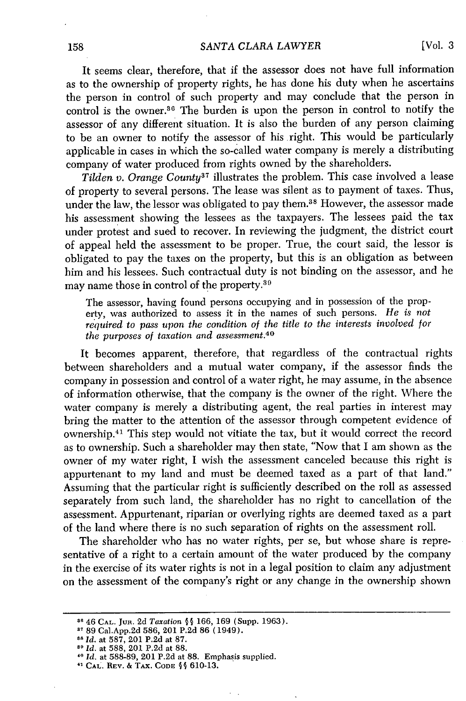It seems clear, therefore, that if the assessor does not have full information as to the ownership of property rights, he has done his duty when he ascertains the person in control of such property and may conclude that the person in control is the owner.<sup>36</sup> The burden is upon the person in control to notify the assessor of any different situation. It is also the burden of any person claiming to be an owner to notify the assessor of his right. This would be particularly applicable in cases in which the so-called water company is merely a distributing company of water produced from rights owned by the shareholders.

*Tilden v. Orange County37* illustrates the problem. This case involved a lease of property to several persons. The lease was silent as to payment of taxes. Thus, under the law, the lessor was obligated to pay **them.3 <sup>8</sup>**However, the assessor made his assessment showing the lessees as the taxpayers. The lessees paid the tax under protest and sued to recover. In reviewing the judgment, the district court of appeal held the assessment to be proper. True, the court said, the lessor is obligated to pay the taxes on the property, but this is an obligation as between him and his lessees. Such contractual duty is not binding on the assessor, and he may name those in control of the property.<sup>39</sup>

The assessor, having found persons occupying and in possession of the property, was authorized to assess it in the names of such persons. *He is not required to pass upon the condition of the title to the interests involved for the purposes of taxation and assessment.40*

It becomes apparent, therefore, that regardless of the contractual rights between shareholders and a mutual water company, if the assessor finds the company in possession and control of a water right, he may assume, in the absence of information otherwise, that the company is the owner of the right. Where the water company is merely a distributing agent, the real parties in interest may bring the matter to the attention of the assessor through competent evidence of ownership. 41 This step would not vitiate the tax, but it would correct the record as to ownership. Such a shareholder may then state, "Now that I am shown as the owner of my water right, I wish the assessment canceled because this right is appurtenant to my land and must be deemed taxed as a part of that land." Assuming that the particular right is sufficiently described on the roll as assessed separately from such land, the shareholder has no right to cancellation of the assessment. Appurtenant, riparian or overlying rights are deemed taxed as a part of the land where there is no such separation of rights on the assessment roll.

The shareholder who has no water rights, per se, but whose share is representative of a right to a certain amount of the water produced by the company in the exercise of its water rights is not in a legal position to claim any adjustment on the assessment of the company's right or any change in the ownership shown

**<sup>36</sup>**46 **CAL.** JuR. 2d *Taxation §§* 166, 169 (Supp. 1963).

**<sup>&</sup>quot;1** 89 Cal.App.2d 586, 201 P.2d 86 (1949). **<sup>88</sup>***Id.* at 587, 201 P.2d at 87.

<sup>&</sup>lt;sup>88</sup> *Id.* at 587, 201 P.2d at 87.<br><sup>89</sup> *Id.* at 588, 201 P.2d at 88.<br><sup>40</sup> *Id.* at 588-89, 201 P.2d at 88. Emphasis supplied.

**<sup>&</sup>quot;CAL. REV.** & TAx. **CODE** *§* 610-13.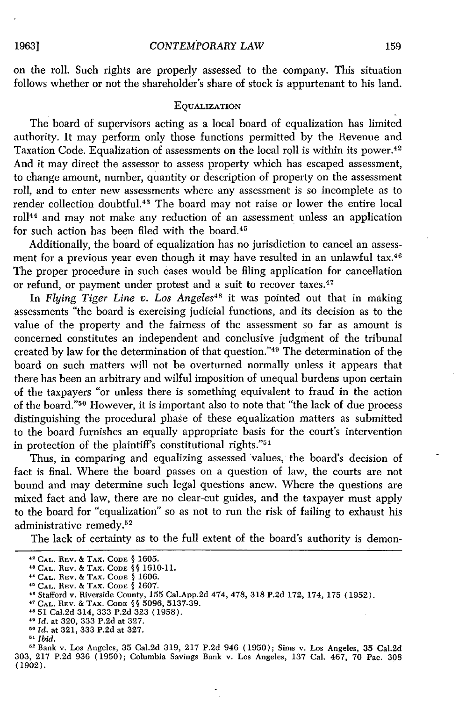on the roll. Such rights are properly assessed to the company. This situation follows whether or not the shareholder's share of stock is appurtenant to his land.

#### **EQUALIZATION**

The board of supervisors acting as a local board of equalization has limited authority. It may perform only those functions permitted by the Revenue and Taxation Code. Equalization of assessments on the local roll is within its power. <sup>42</sup> And it may direct the assessor to assess property which has escaped assessment, to change amount, number, quantity or description of property on the assessment roll, and to enter new assessments where any assessment is so incomplete as to render collection doubtful. 43 The board may not raise or lower the entire local roll 44 and may not make any reduction of an assessment unless an application for such action has been filed with the board.<sup>45</sup>

Additionally, the board of equalization has no jurisdiction to cancel an assessment for a previous year even though it may have resulted in an unlawful tax.<sup>46</sup> The proper procedure in such cases would be filing application for cancellation or refund, or payment under protest and a suit to recover taxes.<sup>47</sup>

In *Flying Tiger Line v. Los Angeles48* it was pointed out that in making assessments "the board is exercising judicial functions, and its decision as to the value of the property and the fairness of the assessment so far as amount is concerned constitutes an independent and conclusive judgment of the tribunal created by law for the determination of that question." 49 The determination of the board on such matters will not be overturned normally unless it appears that there has been an arbitrary and wilful imposition of unequal burdens upon certain of the taxpayers "or unless there is something equivalent to fraud in the action of the board."50 However, it is important also to note that "the lack of due process distinguishing the procedural phase of these equalization matters as submitted to the board furnishes an equally appropriate basis for the court's intervention in protection of the plaintiff's constitutional rights." $51$ 

Thus, in comparing and equalizing assessed values, the board's decision of fact is final. Where the board passes on a question of law, the courts are not bound and may determine such legal questions anew. Where the questions are mixed fact and law, there are no clear-cut guides, and the taxpayer must apply to the board for "equalization" so as not to run the risk of failing to exhaust his administrative remedy.<sup>52</sup>

The lack of certainty as to the full extent of the board's authority is demon-

*41 Id.* at 320, 333 P.2d at 327. *<sup>50</sup>Id.* at 321, 333 P.2d at 327.

**<sup>42</sup> CAL.** REV. & TAX. **CODE** *§* 1605.

**<sup>&</sup>quot; CAL.** REV. & **TAX. CODE §§** 1610-11.

<sup>44</sup>**CAL.** REV. & TAX. **CODE** 9 1606.

**<sup>&</sup>quot; CAL.** REV. & TAX. **CODE** 1607. 46 Stafford v. Riverside County, 155 Cal.App.2d 474, 478, 318 P.2d 172, 174, 175 (1952).

**<sup>47</sup> CAL.** REV. & TAX. **CODE § §** 5096, 5137-39.

**<sup>,</sup>s** 51 Cal.2d 314, 333 P.2d 323 (1958).

**<sup>5&#</sup>x27;** *Ibid.*

**<sup>2</sup>**Bank v. Los Angeles, 35 Cal.2d 319, 217 P.2d 946 (1950); Sims v. Los Angeles, 35 Cal.2d 303, 217 P.2d 936 (1950); Columbia Savings Bank v. Los Angeles, 137 Cal. 467, 70 Pac. 308 (1902).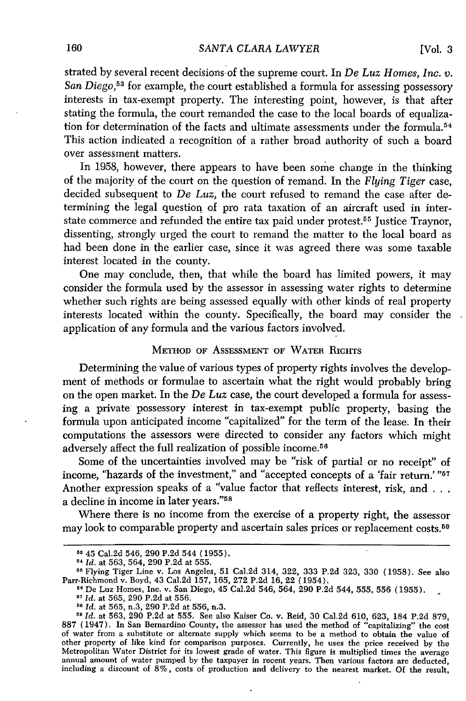[Vol. **3**

strated by several recent decisions of the supreme court. In *De Luz Homes, Inc. v. San Diego,53* for example, the court established a formula for assessing possessory interests in tax-exempt property. The interesting point, however, is that after stating the formula, the court remanded the case to the local boards of equalization for determination of the facts and ultimate assessments under the formula.<sup>54</sup> This action indicated a recognition of a rather broad authority of such a board over assessment matters.

In 1958, however, there appears to have been some change in the thinking of the majority of the court on the question of remand. In the *Flying Tiger* case, decided subsequent to *De Luz,* the court refused to remand the case after determining the legal question of pro rata taxation of an aircraft used in interstate commerce and refunded the entire tax paid under protest.<sup>55</sup> Justice Traynor, dissenting, strongly urged the court to remand the matter to the local board as had been done in the earlier case, since it was agreed there was some taxable interest located in the county.

One may conclude, then, that while the board has limited powers, it may consider the formula used by the assessor in assessing water rights to determine whether such rights are being assessed equally with other kinds of real property interests located within the county. Specifically, the board may consider the application of any formula and the various factors involved.

#### METHOD OF ASSESSMENT OF WATER RIGHTS

Determining the value of various types of property rights involves the development of methods or formulae to ascertain what the right would probably bring on the open market. In the *De Luz* case, the court developed a formula for assessing a private possessory interest in tax-exempt public property, basing the formula upon anticipated income "capitalized" for the term of the lease. In their computations the assessors were directed to consider any factors which might adversely affect the full realization of possible income.<sup>5</sup>

Some of the uncertainties involved may be "risk of partial or no receipt" of income, "hazards of the investment," and "accepted concepts of a 'fair return.' "<sup>57</sup> Another expression speaks of a "value factor that reflects interest, risk, and **. . .** a decline in income in later years."<sup>58</sup>

Where there is no income from the exercise of a property right, the assessor may look to comparable property and ascertain sales prices or replacement costs.<sup>59</sup>

*<sup>59</sup>Id.* at 563, 290 P.2d at 555. See also Kaiser Co. v. Reid, 30 Cal.2d 610, 623, 184 P.2d 879, 887 (1947). In San Bernardino County, the assessor has used the method of "capitalizing" the cost of water from a substitute or alternate supply which seems to be a method to obtain the value of other property of like kind for comparison purposes. Currently, he uses the price received by the Metropolitan Water District for its lowest grade of water. This figure is multiplied times the average annual amount of water pumped by the taxpayer in recent years. Then various factors are deducted, including a discount **of** 8%, costs **of** production and delivery to the nearest market. Of the result,

<sup>5</sup>B 45 Cal.2d 546, 290 P.2d 544 (1955).

*<sup>11</sup>Id.* at 563, 564, 290 P.2d at 555.

**<sup>55</sup>**Flying Tiger Line v. Los Angeles, 51 Cal.2d 314, 322, 333 P.2d 323, 330 (1958). See also Parr-Richmond v. Boyd, 43 Cal.2d 157, 165, 272 P.2d 16, 22 (1954). **<sup>51</sup>**De Luz Homes, Inc. v. San Diego, 45 Cal.2d 546, 564, 290 P.2d 544, 555, 556 (1955).

*<sup>57</sup>Id.* at 565, 290 P.2d at 556.

*<sup>,</sup>s Id.* at 565, n.3, 290 P.2d at 556, n.3.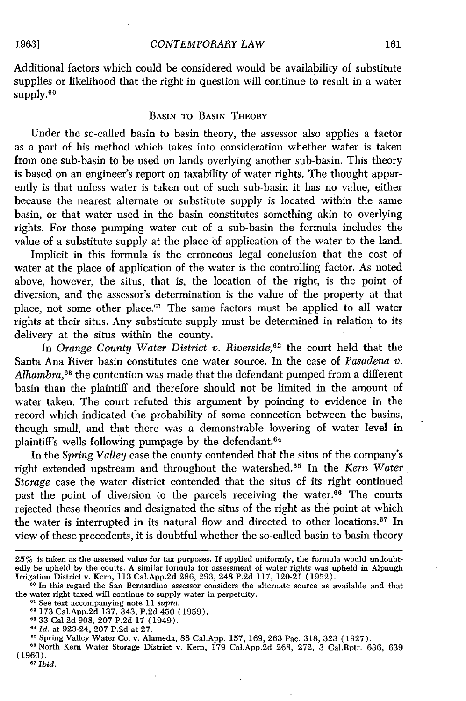Additional factors which could be considered would be availability of substitute supplies or likelihood that the right in question will continue to result in a water supply.<sup>60</sup>

#### BASIN TO BASIN THEORY

Under the so-called basin to basin theory, the assessor also applies a factor as a part of his method which takes into consideration whether water is taken from one sub-basin to be used on lands overlying another sub-basin. This theory is based on an engineer's report on taxability of water rights. The thought apparently is that unless water is taken out of such sub-basin it has no value, either because the nearest alternate or substitute supply is located within the same basin, or that water used in the basin constitutes something akin to overlying rights. For those pumping water out of a sub-basin the formula includes the value of a substitute supply at the place **of** application of the water to the land.

Implicit in this formula is the erroneous legal conclusion that the cost of water at the place of application of the water is the controlling factor. As noted above, however, the situs, that is, the location of the right, is the point of diversion, and the assessor's determination is the value of the property at that place, not some other place.<sup>61</sup> The same factors must be applied to all water rights at their situs. Any substitute supply must be determined in relation to its delivery at the situs within the county.

In *Orange County Water District v. Riverside,62* the court held that the Santa Ana River basin constitutes one water source. In the case of *Pasadena v. Alhambra,63* the contention was made that the defendant pumped from a different basin than the plaintiff and therefore should not be limited in the amount of water taken. The court refuted this argument by pointing to evidence in the record which indicated the probability of some connection between the basins, though small, and that there was a demonstrable lowering of water level in plaintiff's wells following pumpage by the defendant.<sup>64</sup>

In the *Spring Valley* case the county contended that the situs of the company's right extended upstream and throughout the watershed. 65 In the *Kern Water Storage* case the water district contended that the situs of its right continued past the point of diversion to the parcels receiving the water.<sup>66</sup> The courts rejected these theories and designated the situs of the right as the point at which the water is interrupted in its natural flow and directed to other locations.<sup> $67$ </sup> In view of these precedents, it is doubtful whether the so-called basin to basin theory

1963]

<sup>25%</sup> is taken as the assessed value for tax purposes. If applied uniformly, the formula would undoubtedly be upheld by the courts. A similar formula for assessment of water rights was upheld in Alpaugh Irrigation District v. Kern, 113 Cal.App.2d 286, 293, 248 P.2d 117, 120-21 (1952).

**<sup>60</sup>** In this regard the San Bernardino assessor considers the alternate source as available and that the water right taxed will continue to supply water in perpetuity.<br><sup>61</sup> See text accompanying note 11 *supra*.

<sup>&</sup>lt;sup>-</sup> See text accompanying note 11 supra.<br><sup>62</sup> 173 Cal.App.2d 137, 343, P.2d 450 (1959).

*<sup>64</sup> Id.* at 923-24, 207 P.2d at 27.

**<sup>05</sup>** Spring Valley Water Co. v. Alameda, 88 Cal.App. 157, 169, 263 Pac. 318, 323 (1927).

**<sup>66</sup>**North Kern Water Storage District v. Kern, 179 Cal.App.2d 268, 272, 3 Cal.Rptr. 636, 639 (1960). **67** *Ibid.*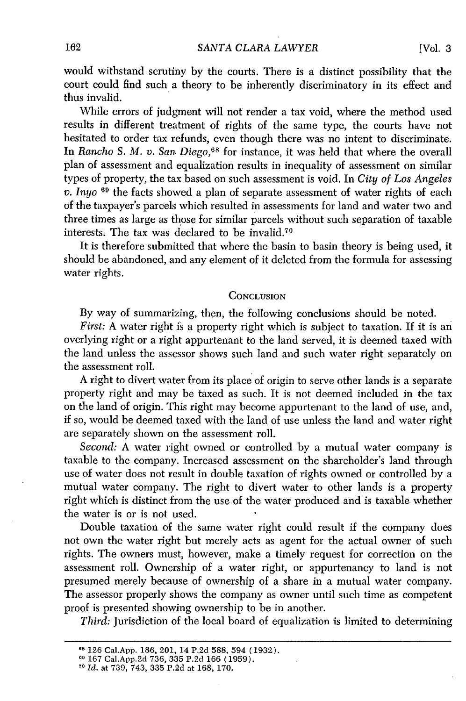would withstand scrutiny by the courts. There is a distinct possibility that the court could find such a theory to be inherently discriminatory in its effect and thus invalid.

While errors of judgment will not render a tax void, where the method used results in different treatment of rights of the same type, the courts have not hesitated to order tax refunds, even though there was no intent to discriminate. In *Rancho S. M. v. San. Diego,68* for instance, it was held that where the overall plan of assessment and equalization results in inequality of assessment on similar types of property, the tax based on such assessment is void. In *City of Los Angeles v. Inyo o9* the facts showed a plan of separate assessment of water rights of each of the taxpayer's parcels which resulted in assessments for land and water two and three times as large as those for similar parcels without such separation of taxable interests. The tax was declared to be invalid.<sup>70</sup>

It is therefore submitted that where the basin to basin theory is being used, it should be abandoned, and any element of it deleted from the formula for assessing water rights.

#### **CONCLUSION**

By way of summarizing, then, the following conclusions should be noted.

*First:* A water right is a property right which is subject to taxation. If it is an overlying right or a right appurtenant to the land served, it is deemed taxed with the land unless the assessor shows such land and such water right separately on the assessment roll.

A right to divert water from its place of origin to serve other lands is a separate property right and may be taxed as such. It is not deemed included in the tax on the land of origin. This right may become appurtenant to the land of use, and, if so, would be deemed taxed with the land of use unless the land and water right are separately shown on the assessment roll.

*Second:* A water right owned or controlled by a mutual water company is taxable to the company. Increased assessment on the shareholder's land through use of water does not result in double taxation of rights owned or controlled by a mutual water company. The right to divert water to other lands is a property right which is distinct from the use of the water produced and is taxable whether the water is or is not used.

Double taxation of the same water right could result if the company does not own the water right but merely acts as agent for the actual owner of such rights. The owners must, however, make a timely request for correction on the assessment roll. Ownership of a water right, or appurtenancy to land is not presumed merely because of ownership of a share in a mutual water company. The assessor properly shows the company as owner until such time as competent proof is presented showing ownership to be in another.

*Third:* Jurisdiction of the local board of equalization is limited to determining

**<sup>&</sup>lt;sup>08</sup> 126 Cal.App. 186, 201, 14 P.2d 588, 594 (1932)**<br><sup>09</sup> 167 Cal.App.2d 736, 335 P.2d 166 (1959).<br><sup>70</sup> Id. at 739, 743, 335 P.2d at 168, 170.